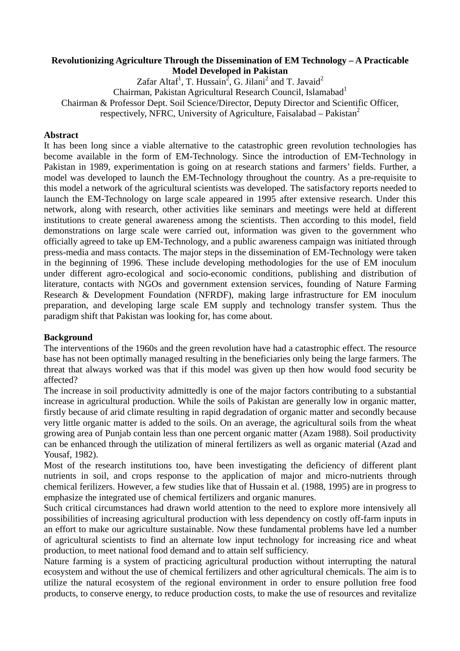### **Revolutionizing Agriculture Through the Dissemination of EM Technology – A Practicable Model Developed in Pakistan**

Zafar Altaf<sup>1</sup>, T. Hussain<sup>2</sup>, G. Jilani<sup>2</sup> and T. Javaid<sup>2</sup> Chairman, Pakistan Agricultural Research Council, Islamabad<sup>1</sup> Chairman & Professor Dept. Soil Science/Director, Deputy Director and Scientific Officer, respectively, NFRC, University of Agriculture, Faisalabad – Pakistan<sup>2</sup>

### **Abstract**

It has been long since a viable alternative to the catastrophic green revolution technologies has become available in the form of EM-Technology. Since the introduction of EM-Technology in Pakistan in 1989, experimentation is going on at research stations and farmers' fields. Further, a model was developed to launch the EM-Technology throughout the country. As a pre-requisite to this model a network of the agricultural scientists was developed. The satisfactory reports needed to launch the EM-Technology on large scale appeared in 1995 after extensive research. Under this network, along with research, other activities like seminars and meetings were held at different institutions to create general awareness among the scientists. Then according to this model, field demonstrations on large scale were carried out, information was given to the government who officially agreed to take up EM-Technology, and a public awareness campaign was initiated through press-media and mass contacts. The major steps in the dissemination of EM-Technology were taken in the beginning of 1996. These include developing methodologies for the use of EM inoculum under different agro-ecological and socio-economic conditions, publishing and distribution of literature, contacts with NGOs and government extension services, founding of Nature Farming Research & Development Foundation (NFRDF), making large infrastructure for EM inoculum preparation, and developing large scale EM supply and technology transfer system. Thus the paradigm shift that Pakistan was looking for, has come about.

#### **Background**

The interventions of the 1960s and the green revolution have had a catastrophic effect. The resource base has not been optimally managed resulting in the beneficiaries only being the large farmers. The threat that always worked was that if this model was given up then how would food security be affected?

The increase in soil productivity admittedly is one of the major factors contributing to a substantial increase in agricultural production. While the soils of Pakistan are generally low in organic matter, firstly because of arid climate resulting in rapid degradation of organic matter and secondly because very little organic matter is added to the soils. On an average, the agricultural soils from the wheat growing area of Punjab contain less than one percent organic matter (Azam 1988). Soil productivity can be enhanced through the utilization of mineral fertilizers as well as organic material (Azad and Yousaf, 1982).

Most of the research institutions too, have been investigating the deficiency of different plant nutrients in soil, and crops response to the application of major and micro-nutrients through chemical ferilizers. However, a few studies like that of Hussain et al. (1988, 1995) are in progress to emphasize the integrated use of chemical fertilizers and organic manures.

Such critical circumstances had drawn world attention to the need to explore more intensively all possibilities of increasing agricultural production with less dependency on costly off-farm inputs in an effort to make our agriculture sustainable. Now these fundamental problems have led a number of agricultural scientists to find an alternate low input technology for increasing rice and wheat production, to meet national food demand and to attain self sufficiency.

Nature farming is a system of practicing agricultural production without interrupting the natural ecosystem and without the use of chemical fertilizers and other agricultural chemicals. The aim is to utilize the natural ecosystem of the regional environment in order to ensure pollution free food products, to conserve energy, to reduce production costs, to make the use of resources and revitalize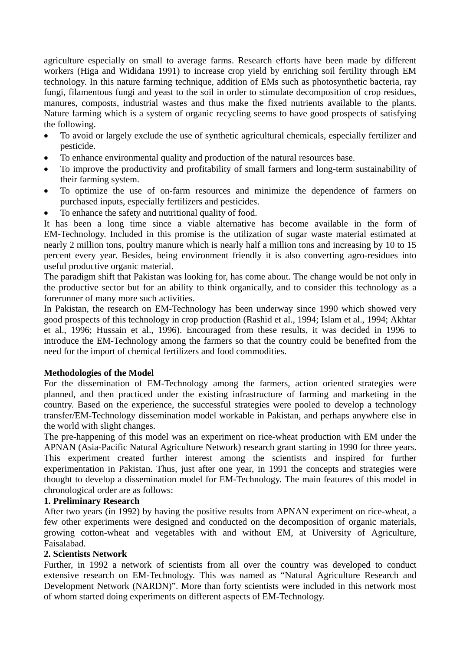agriculture especially on small to average farms. Research efforts have been made by different workers (Higa and Wididana 1991) to increase crop yield by enriching soil fertility through EM technology. In this nature farming technique, addition of EMs such as photosynthetic bacteria, ray fungi, filamentous fungi and yeast to the soil in order to stimulate decomposition of crop residues, manures, composts, industrial wastes and thus make the fixed nutrients available to the plants. Nature farming which is a system of organic recycling seems to have good prospects of satisfying the following.

- To avoid or largely exclude the use of synthetic agricultural chemicals, especially fertilizer and pesticide.
- To enhance environmental quality and production of the natural resources base.
- To improve the productivity and profitability of small farmers and long-term sustainability of their farming system.
- To optimize the use of on-farm resources and minimize the dependence of farmers on purchased inputs, especially fertilizers and pesticides.
- To enhance the safety and nutritional quality of food.

It has been a long time since a viable alternative has become available in the form of EM-Technology. Included in this promise is the utilization of sugar waste material estimated at nearly 2 million tons, poultry manure which is nearly half a million tons and increasing by 10 to 15 percent every year. Besides, being environment friendly it is also converting agro-residues into useful productive organic material.

The paradigm shift that Pakistan was looking for, has come about. The change would be not only in the productive sector but for an ability to think organically, and to consider this technology as a forerunner of many more such activities.

In Pakistan, the research on EM-Technology has been underway since 1990 which showed very good prospects of this technology in crop production (Rashid et al., 1994; Islam et al., 1994; Akhtar et al., 1996; Hussain et al., 1996). Encouraged from these results, it was decided in 1996 to introduce the EM-Technology among the farmers so that the country could be benefited from the need for the import of chemical fertilizers and food commodities.

## **Methodologies of the Model**

For the dissemination of EM-Technology among the farmers, action oriented strategies were planned, and then practiced under the existing infrastructure of farming and marketing in the country. Based on the experience, the successful strategies were pooled to develop a technology transfer/EM-Technology dissemination model workable in Pakistan, and perhaps anywhere else in the world with slight changes.

The pre-happening of this model was an experiment on rice-wheat production with EM under the APNAN (Asia-Pacific Natural Agriculture Network) research grant starting in 1990 for three years. This experiment created further interest among the scientists and inspired for further experimentation in Pakistan. Thus, just after one year, in 1991 the concepts and strategies were thought to develop a dissemination model for EM-Technology. The main features of this model in chronological order are as follows:

#### **1. Preliminary Research**

After two years (in 1992) by having the positive results from APNAN experiment on rice-wheat, a few other experiments were designed and conducted on the decomposition of organic materials, growing cotton-wheat and vegetables with and without EM, at University of Agriculture, Faisalabad.

#### **2. Scientists Network**

Further, in 1992 a network of scientists from all over the country was developed to conduct extensive research on EM-Technology. This was named as "Natural Agriculture Research and Development Network (NARDN)". More than forty scientists were included in this network most of whom started doing experiments on different aspects of EM-Technology.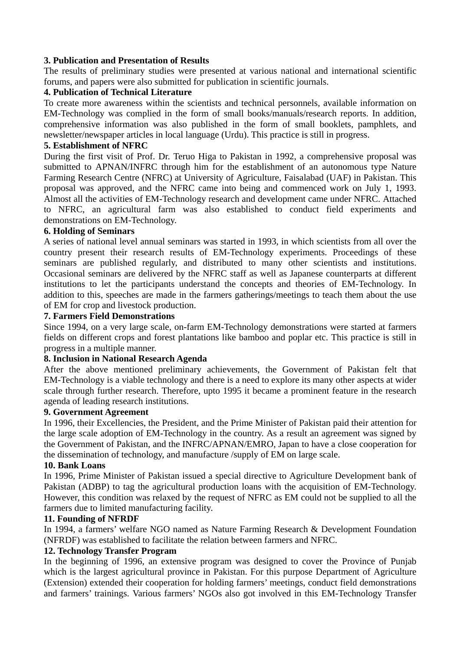### **3. Publication and Presentation of Results**

The results of preliminary studies were presented at various national and international scientific forums, and papers were also submitted for publication in scientific journals.

### **4. Publication of Technical Literature**

To create more awareness within the scientists and technical personnels, available information on EM-Technology was complied in the form of small books/manuals/research reports. In addition, comprehensive information was also published in the form of small booklets, pamphlets, and newsletter/newspaper articles in local language (Urdu). This practice is still in progress.

### **5. Establishment of NFRC**

During the first visit of Prof. Dr. Teruo Higa to Pakistan in 1992, a comprehensive proposal was submitted to APNAN/INFRC through him for the establishment of an autonomous type Nature Farming Research Centre (NFRC) at University of Agriculture, Faisalabad (UAF) in Pakistan. This proposal was approved, and the NFRC came into being and commenced work on July 1, 1993. Almost all the activities of EM-Technology research and development came under NFRC. Attached to NFRC, an agricultural farm was also established to conduct field experiments and demonstrations on EM-Technology.

### **6. Holding of Seminars**

A series of national level annual seminars was started in 1993, in which scientists from all over the country present their research results of EM-Technology experiments. Proceedings of these seminars are published regularly, and distributed to many other scientists and institutions. Occasional seminars are delivered by the NFRC staff as well as Japanese counterparts at different institutions to let the participants understand the concepts and theories of EM-Technology. In addition to this, speeches are made in the farmers gatherings/meetings to teach them about the use of EM for crop and livestock production.

### **7. Farmers Field Demonstrations**

Since 1994, on a very large scale, on-farm EM-Technology demonstrations were started at farmers fields on different crops and forest plantations like bamboo and poplar etc. This practice is still in progress in a multiple manner.

#### **8. Inclusion in National Research Agenda**

After the above mentioned preliminary achievements, the Government of Pakistan felt that EM-Technology is a viable technology and there is a need to explore its many other aspects at wider scale through further research. Therefore, upto 1995 it became a prominent feature in the research agenda of leading research institutions.

#### **9. Government Agreement**

In 1996, their Excellencies, the President, and the Prime Minister of Pakistan paid their attention for the large scale adoption of EM-Technology in the country. As a result an agreement was signed by the Government of Pakistan, and the INFRC/APNAN/EMRO, Japan to have a close cooperation for the dissemination of technology, and manufacture /supply of EM on large scale.

#### **10. Bank Loans**

In 1996, Prime Minister of Pakistan issued a special directive to Agriculture Development bank of Pakistan (ADBP) to tag the agricultural production loans with the acquisition of EM-Technology. However, this condition was relaxed by the request of NFRC as EM could not be supplied to all the farmers due to limited manufacturing facility.

#### **11. Founding of NFRDF**

In 1994, a farmers' welfare NGO named as Nature Farming Research & Development Foundation (NFRDF) was established to facilitate the relation between farmers and NFRC.

#### **12. Technology Transfer Program**

In the beginning of 1996, an extensive program was designed to cover the Province of Punjab which is the largest agricultural province in Pakistan. For this purpose Department of Agriculture (Extension) extended their cooperation for holding farmers' meetings, conduct field demonstrations and farmers' trainings. Various farmers' NGOs also got involved in this EM-Technology Transfer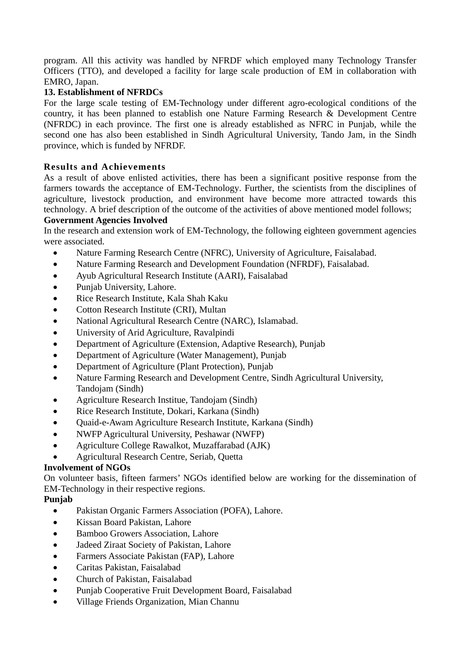program. All this activity was handled by NFRDF which employed many Technology Transfer Officers (TTO), and developed a facility for large scale production of EM in collaboration with EMRO, Japan.

## **13. Establishment of NFRDCs**

For the large scale testing of EM-Technology under different agro-ecological conditions of the country, it has been planned to establish one Nature Farming Research & Development Centre (NFRDC) in each province. The first one is already established as NFRC in Punjab, while the second one has also been established in Sindh Agricultural University, Tando Jam, in the Sindh province, which is funded by NFRDF.

## **Results and Achievements**

As a result of above enlisted activities, there has been a significant positive response from the farmers towards the acceptance of EM-Technology. Further, the scientists from the disciplines of agriculture, livestock production, and environment have become more attracted towards this technology. A brief description of the outcome of the activities of above mentioned model follows; **Government Agencies Involved** 

In the research and extension work of EM-Technology, the following eighteen government agencies were associated.

- Nature Farming Research Centre (NFRC), University of Agriculture, Faisalabad.
- Nature Farming Research and Development Foundation (NFRDF), Faisalabad.
- Ayub Agricultural Research Institute (AARI), Faisalabad
- Punjab University, Lahore.
- Rice Research Institute, Kala Shah Kaku
- Cotton Research Institute (CRI), Multan
- National Agricultural Research Centre (NARC), Islamabad.
- University of Arid Agriculture, Ravalpindi
- Department of Agriculture (Extension, Adaptive Research), Punjab
- Department of Agriculture (Water Management), Punjab
- Department of Agriculture (Plant Protection), Punjab
- Nature Farming Research and Development Centre, Sindh Agricultural University, Tandojam (Sindh)
- Agriculture Research Institue, Tandojam (Sindh)
- Rice Research Institute, Dokari, Karkana (Sindh)
- Quaid-e-Awam Agriculture Research Institute, Karkana (Sindh)
- NWFP Agricultural University, Peshawar (NWFP)
- Agriculture College Rawalkot, Muzaffarabad (AJK)
- Agricultural Research Centre, Seriab, Quetta

## **Involvement of NGOs**

On volunteer basis, fifteen farmers' NGOs identified below are working for the dissemination of EM-Technology in their respective regions.

## **Punjab**

- Pakistan Organic Farmers Association (POFA), Lahore.
- Kissan Board Pakistan, Lahore
- Bamboo Growers Association, Lahore
- Jadeed Ziraat Society of Pakistan, Lahore
- Farmers Associate Pakistan (FAP), Lahore
- Caritas Pakistan, Faisalabad
- Church of Pakistan, Faisalabad
- Punjab Cooperative Fruit Development Board, Faisalabad
- Village Friends Organization, Mian Channu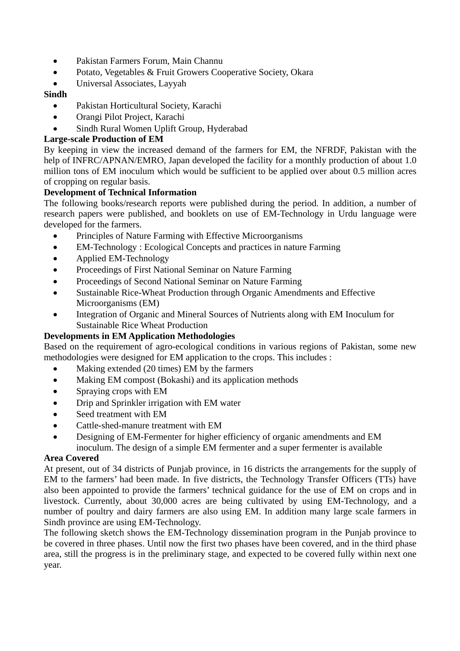- Pakistan Farmers Forum, Main Channu
- Potato, Vegetables & Fruit Growers Cooperative Society, Okara
- Universal Associates, Layyah

## **Sindh**

- Pakistan Horticultural Society, Karachi
- Orangi Pilot Project, Karachi
- Sindh Rural Women Uplift Group, Hyderabad

## **Large-scale Production of EM**

By keeping in view the increased demand of the farmers for EM, the NFRDF, Pakistan with the help of INFRC/APNAN/EMRO, Japan developed the facility for a monthly production of about 1.0 million tons of EM inoculum which would be sufficient to be applied over about 0.5 million acres of cropping on regular basis.

## **Development of Technical Information**

The following books/research reports were published during the period. In addition, a number of research papers were published, and booklets on use of EM-Technology in Urdu language were developed for the farmers.

- Principles of Nature Farming with Effective Microorganisms
- EM-Technology : Ecological Concepts and practices in nature Farming
- Applied EM-Technology
- Proceedings of First National Seminar on Nature Farming
- Proceedings of Second National Seminar on Nature Farming
- Sustainable Rice-Wheat Production through Organic Amendments and Effective Microorganisms (EM)
- Integration of Organic and Mineral Sources of Nutrients along with EM Inoculum for Sustainable Rice Wheat Production

# **Developments in EM Application Methodologies**

Based on the requirement of agro-ecological conditions in various regions of Pakistan, some new methodologies were designed for EM application to the crops. This includes :

- Making extended (20 times) EM by the farmers
- Making EM compost (Bokashi) and its application methods
- Spraying crops with EM
- Drip and Sprinkler irrigation with EM water
- Seed treatment with EM
- Cattle-shed-manure treatment with EM
- Designing of EM-Fermenter for higher efficiency of organic amendments and EM inoculum. The design of a simple EM fermenter and a super fermenter is available

## **Area Covered**

At present, out of 34 districts of Punjab province, in 16 districts the arrangements for the supply of EM to the farmers' had been made. In five districts, the Technology Transfer Officers (TTs) have also been appointed to provide the farmers' technical guidance for the use of EM on crops and in livestock. Currently, about 30,000 acres are being cultivated by using EM-Technology, and a number of poultry and dairy farmers are also using EM. In addition many large scale farmers in Sindh province are using EM-Technology.

The following sketch shows the EM-Technology dissemination program in the Punjab province to be covered in three phases. Until now the first two phases have been covered, and in the third phase area, still the progress is in the preliminary stage, and expected to be covered fully within next one year.